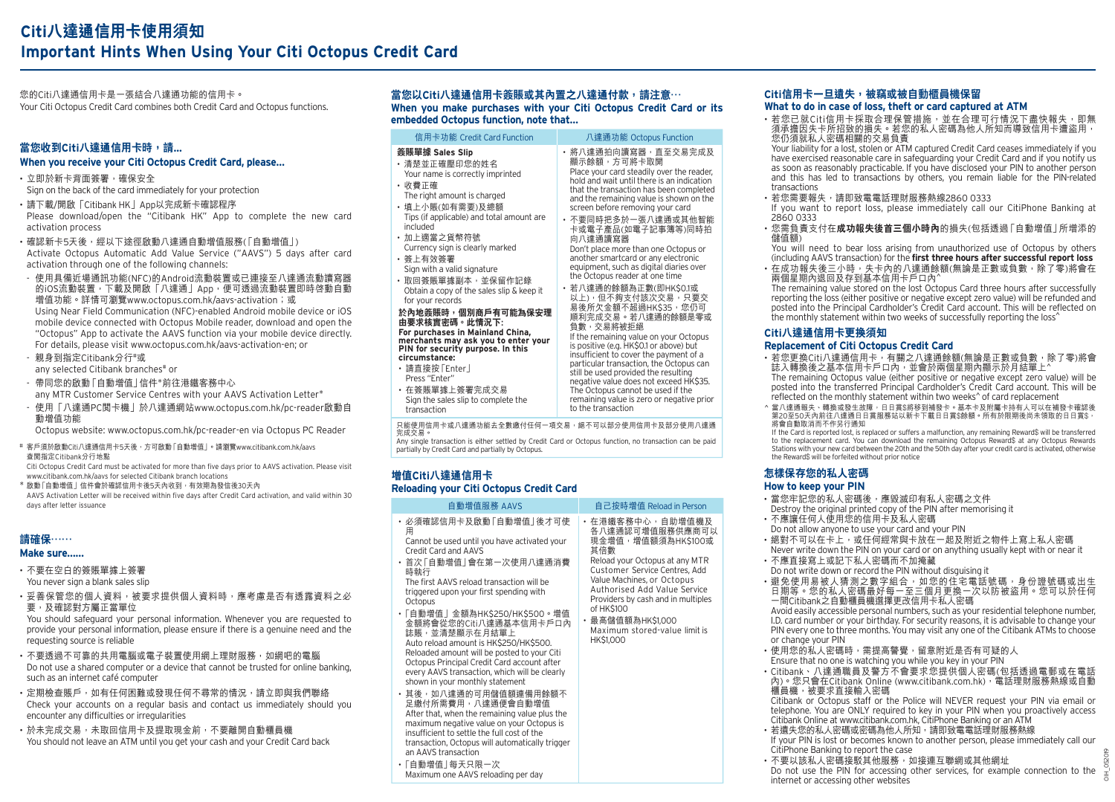您的Citi八達通信用卡是一張結合八達通功能的信用卡。 Your Citi Octopus Credit Card combines both Credit Card and Octopus functions.

## **當您收到Citi八達通信用卡時,請... When you receive your Citi Octopus Credit Card, please…**

• 立即於新卡背面簽署,確保安全 Sign on the back of the card immediately for your protection

• 請下載/開啟「Citibank HK」App以完成新卡確認程序 Please download/open the "Citibank HK" App to complete the new card activation process

•確認新卡5天後,經以下途徑啟動八達通自動增值服務(「自動增值」) Activate Octopus Automatic Add Value Service ("AAVS") 5 days after card activation through one of the following channels:

- 使用具備近場通訊功能(NFC)的Android流動裝置或已連接至八達通流動讀寫器 的iOS流動裝置,下載及開啟「八達通」App,便可透過流動裝置即時啓動自動 增值功能。詳情可瀏覽www.octopus.com.hk/aavs-activation;或 Using Near Field Communication (NFC)-enabled Android mobile device or iOS mobile device connected with Octopus Mobile reader, download and open the "Octopus" App to activate the AAVS function via your mobile device directly. For details, please visit www.octopus.com.hk/aavs-activation-en; or
- 親身到指定Citibank分行"或 any selected Citibank branches# or

 - 帶同您的啟動「自動增值」信件\*前往港鐵客務中心 any MTR Customer Service Centres with your AAVS Activation Letter\*

 - 使用「八達通PC閱卡機」於八達通網站www.octopus.com.hk/pc-reader啟動自 動增值功能

Octopus website: www.octopus.com.hk/pc-reader-en via Octopus PC Reader

# 客戶須於啟動Citi八達通信用卡5天後,方可啟動「自動增值」。請瀏覽www.citibank.com.hk/aavs 查閱指定Citibank分行地點

 Citi Octopus Credit Card must be activated for more than five days prior to AAVS activation. Please visit www.citibank.com.hk/aavs for selected Citibank branch locations

\* 啟動「自動增值」信件會於確認信用卡後5天內收到,有效期為發信後30天內

 AAVS Activation Letter will be received within five days after Credit Card activation, and valid within 30 days after letter issuance

## **請確保⋯⋯**

### **Make sure……**

- 不要在空白的簽賬單據上簽署 You never sign a blank sales slip
- 妥善保管您的個人資料, 被要求提供個人資料時, 應考慮是否有透露資料之必 要,及確認對方屬正當單位

You should safeguard your personal information. Whenever you are requested to provide your personal information, please ensure if there is a genuine need and the requesting source is reliable

- 不要透過不可靠的共用電腦或電子裝置使用網上理財服務, 如網吧的電腦 Do not use a shared computer or a device that cannot be trusted for online banking, such as an internet café computer
- 定期检查賬戶,加有任何困難戓發現任何不尋堂的情況,請立即與我們聯络 Check your accounts on a regular basis and contact us immediately should you encounter any difficulties or irregularities
- 於未完成交易,未取回信用卡及提取現金前,不要離開自動櫃員機 You should not leave an ATM until you get your cash and your Credit Card back

## **當您以Citi八達通信用卡簽賬或其內置之八達通付款,請注意⋯**

**When you make purchases with your Citi Octopus Credit Card or its embedded Octopus function, note that…**

| 信用卡功能 Credit Card Function                                                                                                                                                                                                                                                                                                                                                                                                                                                                                                                                                                         | 八達通功能 Octopus Function                                                                                                                                                                                                                                                                                                                                                                                                                                                                                                                                                                                                                                                                                                                                                                                                                                                               |
|----------------------------------------------------------------------------------------------------------------------------------------------------------------------------------------------------------------------------------------------------------------------------------------------------------------------------------------------------------------------------------------------------------------------------------------------------------------------------------------------------------------------------------------------------------------------------------------------------|--------------------------------------------------------------------------------------------------------------------------------------------------------------------------------------------------------------------------------------------------------------------------------------------------------------------------------------------------------------------------------------------------------------------------------------------------------------------------------------------------------------------------------------------------------------------------------------------------------------------------------------------------------------------------------------------------------------------------------------------------------------------------------------------------------------------------------------------------------------------------------------|
| 簽賬單據 Sales Slip<br>• 清楚並正確壓印您的姓名<br>Your name is correctly imprinted<br>· 收費正確<br>The right amount is charged<br>・填上小賬(如有需要)及總額<br>Tips (if applicable) and total amount are<br>included<br>・加上適當之貨幣符號<br>Currency sign is clearly marked<br>・簽上有效簽署<br>Sign with a valid signature<br>・取回簽賬單據副本,並保留作記錄<br>Obtain a copy of the sales slip & keep it<br>for your records<br>於內地簽賬時,個別商戶有可能為保安理<br>由要求核實密碼。此情況下:<br>For purchases in Mainland China,<br>merchants may ask you to enter your<br>PIN for security purpose. In this<br>circumstance:<br>・請直接按「Enter」<br>Press "Enter"<br>・在簽賬單據上簽署完成交易 | • 將八達通拍向讀寫器,直至交易完成及<br>顯示餘額,方可將卡取開<br>Place your card steadily over the reader,<br>hold and wait until there is an indication<br>that the transaction has been completed<br>and the remaining value is shown on the<br>screen before removing your card<br>• 不要同時把多於一張八達通或其他智能<br>卡或電子產品(如電子記事簿等)同時拍<br>向八達通讀寫器<br>Don't place more than one Octopus or<br>another smartcard or any electronic<br>equipment, such as digital diaries over<br>the Octopus reader at one time<br>・ 若八達通的餘額為正數(即HK\$0.1或<br>以上),但不夠支付該次交易,只要交<br>易後所欠金額不超過HK\$35,您仍可<br>順利完成交易。若八達通的餘額是零或<br>負數,交易將被拒絕<br>If the remaining value on your Octopus<br>is positive (e.g. HK\$0.1 or above) but<br>insufficient to cover the payment of a<br>particular transaction, the Octopus can<br>still be used provided the resulting<br>negative value does not exceed HK\$35.<br>The Octopus cannot be used if the |
| Sign the sales slip to complete the<br>transaction                                                                                                                                                                                                                                                                                                                                                                                                                                                                                                                                                 | remaining value is zero or negative prior<br>to the transaction                                                                                                                                                                                                                                                                                                                                                                                                                                                                                                                                                                                                                                                                                                                                                                                                                      |

只能使用信用卡或八達通功能去全數繳付任何一項交易,絕不可以部分使用信用卡及部分使用八達通 完成交易。

Any single transaction is either settled by Credit Card or Octopus function, no transaction can be paid partially by Credit Card and partially by Octopus.

## **增值Citi八達通信用卡 Reloading your Citi Octopus Credit Card**

| 自動增值服務 AAVS                                                                                                                                                                                                                                                                                                                                                                                                                                                                                                                                                                                                                                                                                                                                                                                                                                                                   | 自己按時增值 Reload in Person                                                                                                                                                                                                                                                                                                |
|-------------------------------------------------------------------------------------------------------------------------------------------------------------------------------------------------------------------------------------------------------------------------------------------------------------------------------------------------------------------------------------------------------------------------------------------------------------------------------------------------------------------------------------------------------------------------------------------------------------------------------------------------------------------------------------------------------------------------------------------------------------------------------------------------------------------------------------------------------------------------------|------------------------------------------------------------------------------------------------------------------------------------------------------------------------------------------------------------------------------------------------------------------------------------------------------------------------|
| ・必須確認信用卡及啟動「自動增值   後オ可使<br>用<br>Cannot be used until you have activated your<br>Credit Card and AAVS<br>・首次 「自動增值   會在第一次使用八達通消費<br>時執行<br>The first AAVS reload transaction will be<br>triggered upon your first spending with<br>Octopus<br>・「自動增值 金額為HK\$250/HK\$500。增值<br>金額將會從您的Citi八達通基本信用卡戶口內<br>誌賬,並清楚顯示在月結單上<br>Auto reload amount is HK\$250/HK\$500.<br>Reloaded amount will be posted to your Citi<br>Octopus Principal Credit Card account after<br>every AAVS transaction, which will be clearly<br>shown in your monthly statement<br>• 其後,如八達通的可用儲值額連備用餘額不<br>足繳付所需費用,八達通便會自動增值<br>After that, when the remaining value plus the<br>maximum negative value on your Octopus is<br>insufficient to settle the full cost of the<br>transaction, Octopus will automatically trigger<br>an AAVS transaction<br>・「自動增值」每天只限ー次<br>Maximum one AAVS reloading per day | ・在港鐵客務中心,自助增值機及<br>各八達通認可增值服務供應商可以<br>現金增值,增值額須為HK\$100或<br>其倍數<br>Reload your Octopus at any MTR<br>Customer Service Centres, Add<br>Value Machines, or Octopus<br>Authorised Add Value Service<br>Providers by cash and in multiples<br>of HK\$100<br>・最高儲值額為HK\$1,000<br>Maximum stored-value limit is<br>HK\$1,000 |

# **Citi信用卡一旦遺失,被竊或被自動櫃員機保留**

## **What to do in case of loss, theft or card captured at ATM**

• 若您已就Citi信用卡採取合埋保管措施,並在合埋可行情況下盡快報矢,即無<br>《須承擔因失卡所招致的損失。若您的私人密碼為他人所知而導致信用卡遭盜用, 您仍須就私人密碼相關的交易負責

Your liability for a lost, stolen or ATM captured Credit Card ceases immediately if you have exercised reasonable care in safeguarding your Credit Card and if you notify us as soon as reasonably practicable. If you have disclosed your PIN to another person and this has led to transactions by others, you remain liable for the PIN-related transactions

- 若您需要報失,請即致電電話理財服務熱線2860 0333
- If you want to report loss, please immediately call our CitiPhone Banking at 2860 0333
- 您需負責支付在**成功報失後首三個小時內**的損失(包括透過「自動增值」所增添的 儲值額)

 You will need to bear loss arising from unauthorized use of Octopus by others (including AAVS transaction) for the **first three hours after successful report loss** • 在成功報失後三小時,失卡內的八達通餘額(無論是正數或負數,除了零)將會在<br>- 兩個星期內退回及存到基本信用卡戶口內^

The remaining value stored on the lost Octopus Card three hours after successfully reporting the loss (either positive or negative except zero value) will be refunded and posted into the Principal Cardholder's Credit Card account. This will be reflected on the monthly statement within two weeks of successfully reporting the loss^

## **Citi八達通信用卡更換須知**

## **Replacement of Citi Octopus Credit Card**

- 若您更換Citi八達通信用卡,有關之八達通餘額(無論是正數或負數,除了零)將會 誌入轉換後之基本信用卡戶口內,並會於兩個星期內顯示於月結單上^ The remaining Octopus value (either positive or negative except zero value) will be posted into the transferred Principal Cardholder's Credit Card account. This will be reflected on the monthly statement within two weeks^ of card replacement
- ^ 當八達通報失、轉換或發生故障,日日賞\$將移到補發卡。基本卡及附屬卡持有人可以在補發卡確認後 第20至50天內前往八達通日日賞服務站以新卡下載日日賞\$餘額。所有於限期後尚未領取的日日賞\$, 將會自動取消而不作另行通知

 If the Card is reported lost, is replaced or suffers a malfunction, any remaining Reward\$ will be transferred to the replacement card. You can download the remaining Octopus Reward\$ at any Octopus Rewards Stations with your new card between the 20th and the 50th day after your credit card is activated, otherwise the Reward\$ will be forfeited without prior notice

### **怎樣保存您的私人密碼 How to keep your PIN**

• 當您牢記您的私人密碼後,應毀滅印有私人密碼之文件 Destroy the original printed copy of the PIN after memorising it

- 不應讓任何人使用您的信用卡及私人密碼 Do not allow anyone to use your card and your PIN
- 絕對不可以在卡上,或任何經常與卡放在一起及附近之物件上寫上私人密碼 Never write down the PIN on your card or on anything usually kept with or near it
- 不應直接寫上或記下私人密碼而不加掩藏 Do not write down or record the PIN without disguising it
- •避免使用易被人猜測之數字組合,如您的住宅電話號碼,身份證號碼或出生 日期等。您的私人密碼最好每一至三個月更換一次以防被盜用。您可以於任何 一間Citibank之自動櫃員機選擇更改信用卡私人密碼

Avoid easily accessible personal numbers, such as your residential telephone number, I.D. card number or your birthday. For security reasons, it is advisable to change your PIN every one to three months. You may visit any one of the Citibank ATMs to choose or change your PIN

- 使用您的私人密碼時,需提高警覺,留意附近是否有可疑的人 Ensure that no one is watching you while you key in your PIN
- Citibank、八達通職員及警方不會要求您提供個人密碼(包括透過電郵或在電話 內)。您只會在Citibank Online (www.citibank.com.hk),電話理財服務熱線或自動 櫃員機,被要求直接輸入密碼

Citibank or Octopus staff or the Police will NEVER request your PIN via email or telephone. You are ONLY required to key in your PIN when you proactively access Citibank Online at www.citibank.com.hk, CitiPhone Banking or an ATM

- 若遺失您的私人密碼或密碼為他人所知,請即致電電話理財服務熱線 If your PIN is lost or becomes known to another person, please immediately call our CitiPhone Banking to report the case
- 不要以該私人密碼接駁其他服務, 如接連互聯網或其他網址 Do not use the PIN for accessing other services, for example connection to the internet or accessing other websites

OIH\_052019